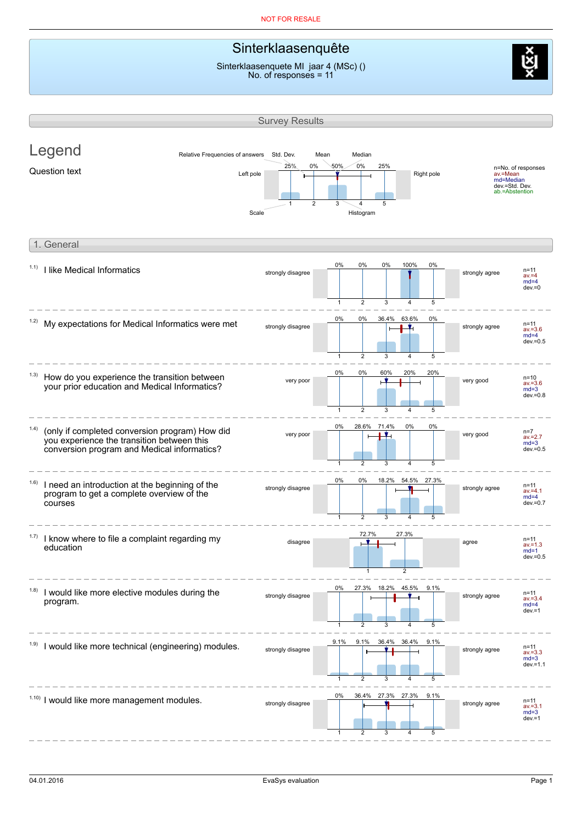